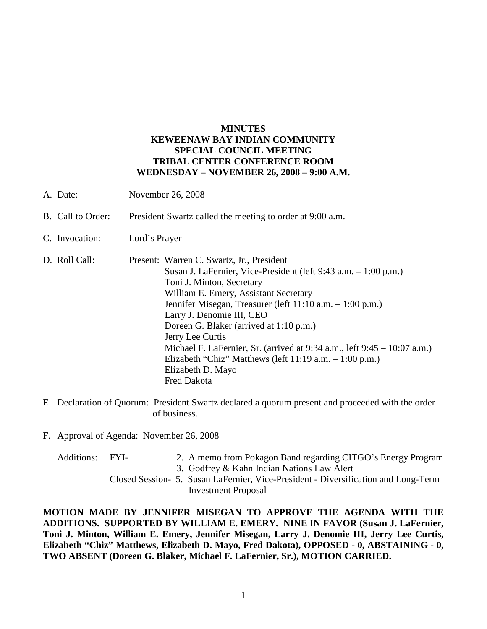## **MINUTES KEWEENAW BAY INDIAN COMMUNITY SPECIAL COUNCIL MEETING TRIBAL CENTER CONFERENCE ROOM WEDNESDAY – NOVEMBER 26, 2008 – 9:00 A.M.**

- A. Date: November 26, 2008
- B. Call to Order: President Swartz called the meeting to order at 9:00 a.m.
- C. Invocation: Lord's Prayer
- D. Roll Call: Present: Warren C. Swartz, Jr., President Susan J. LaFernier, Vice-President (left 9:43 a.m. – 1:00 p.m.) Toni J. Minton, Secretary William E. Emery, Assistant Secretary Jennifer Misegan, Treasurer (left 11:10 a.m. – 1:00 p.m.) Larry J. Denomie III, CEO Doreen G. Blaker (arrived at 1:10 p.m.) Jerry Lee Curtis Michael F. LaFernier, Sr. (arrived at 9:34 a.m., left 9:45 – 10:07 a.m.) Elizabeth "Chiz" Matthews (left 11:19 a.m. – 1:00 p.m.) Elizabeth D. Mayo Fred Dakota
- E. Declaration of Quorum: President Swartz declared a quorum present and proceeded with the order of business.
- F. Approval of Agenda: November 26, 2008
	- Additions: FYI- 2. A memo from Pokagon Band regarding CITGO's Energy Program
		- 3. Godfrey & Kahn Indian Nations Law Alert
		- Closed Session- 5. Susan LaFernier, Vice-President Diversification and Long-Term Investment Proposal

**MOTION MADE BY JENNIFER MISEGAN TO APPROVE THE AGENDA WITH THE ADDITIONS. SUPPORTED BY WILLIAM E. EMERY. NINE IN FAVOR (Susan J. LaFernier, Toni J. Minton, William E. Emery, Jennifer Misegan, Larry J. Denomie III, Jerry Lee Curtis, Elizabeth "Chiz" Matthews, Elizabeth D. Mayo, Fred Dakota), OPPOSED - 0, ABSTAINING - 0, TWO ABSENT (Doreen G. Blaker, Michael F. LaFernier, Sr.), MOTION CARRIED.**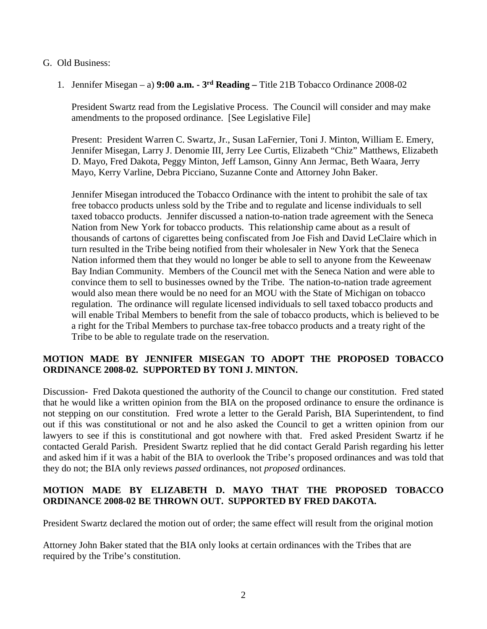- G. Old Business:
	- 1. Jennifer Misegan a) **9:00 a.m. - 3rd Reading –** Title 21B Tobacco Ordinance 2008-02

President Swartz read from the Legislative Process. The Council will consider and may make amendments to the proposed ordinance. [See Legislative File]

Present: President Warren C. Swartz, Jr., Susan LaFernier, Toni J. Minton, William E. Emery, Jennifer Misegan, Larry J. Denomie III, Jerry Lee Curtis, Elizabeth "Chiz" Matthews, Elizabeth D. Mayo, Fred Dakota, Peggy Minton, Jeff Lamson, Ginny Ann Jermac, Beth Waara, Jerry Mayo, Kerry Varline, Debra Picciano, Suzanne Conte and Attorney John Baker.

Jennifer Misegan introduced the Tobacco Ordinance with the intent to prohibit the sale of tax free tobacco products unless sold by the Tribe and to regulate and license individuals to sell taxed tobacco products. Jennifer discussed a nation-to-nation trade agreement with the Seneca Nation from New York for tobacco products. This relationship came about as a result of thousands of cartons of cigarettes being confiscated from Joe Fish and David LeClaire which in turn resulted in the Tribe being notified from their wholesaler in New York that the Seneca Nation informed them that they would no longer be able to sell to anyone from the Keweenaw Bay Indian Community. Members of the Council met with the Seneca Nation and were able to convince them to sell to businesses owned by the Tribe. The nation-to-nation trade agreement would also mean there would be no need for an MOU with the State of Michigan on tobacco regulation. The ordinance will regulate licensed individuals to sell taxed tobacco products and will enable Tribal Members to benefit from the sale of tobacco products, which is believed to be a right for the Tribal Members to purchase tax-free tobacco products and a treaty right of the Tribe to be able to regulate trade on the reservation.

## **MOTION MADE BY JENNIFER MISEGAN TO ADOPT THE PROPOSED TOBACCO ORDINANCE 2008-02. SUPPORTED BY TONI J. MINTON.**

Discussion- Fred Dakota questioned the authority of the Council to change our constitution. Fred stated that he would like a written opinion from the BIA on the proposed ordinance to ensure the ordinance is not stepping on our constitution. Fred wrote a letter to the Gerald Parish, BIA Superintendent, to find out if this was constitutional or not and he also asked the Council to get a written opinion from our lawyers to see if this is constitutional and got nowhere with that. Fred asked President Swartz if he contacted Gerald Parish. President Swartz replied that he did contact Gerald Parish regarding his letter and asked him if it was a habit of the BIA to overlook the Tribe's proposed ordinances and was told that they do not; the BIA only reviews *passed* ordinances, not *proposed* ordinances.

## **MOTION MADE BY ELIZABETH D. MAYO THAT THE PROPOSED TOBACCO ORDINANCE 2008-02 BE THROWN OUT. SUPPORTED BY FRED DAKOTA.**

President Swartz declared the motion out of order; the same effect will result from the original motion

Attorney John Baker stated that the BIA only looks at certain ordinances with the Tribes that are required by the Tribe's constitution.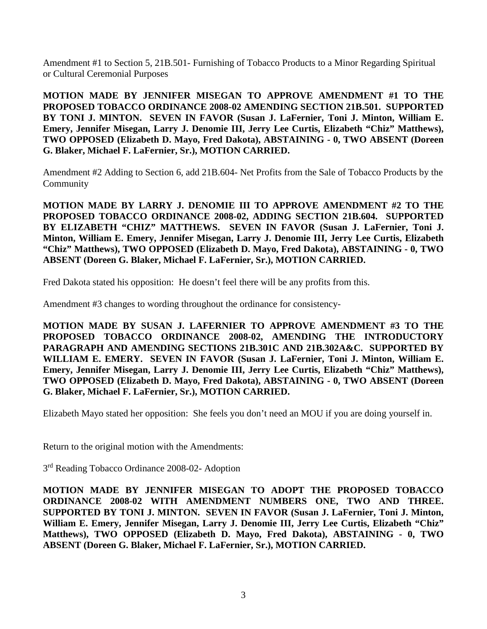Amendment #1 to Section 5, 21B.501- Furnishing of Tobacco Products to a Minor Regarding Spiritual or Cultural Ceremonial Purposes

**MOTION MADE BY JENNIFER MISEGAN TO APPROVE AMENDMENT #1 TO THE PROPOSED TOBACCO ORDINANCE 2008-02 AMENDING SECTION 21B.501. SUPPORTED BY TONI J. MINTON. SEVEN IN FAVOR (Susan J. LaFernier, Toni J. Minton, William E. Emery, Jennifer Misegan, Larry J. Denomie III, Jerry Lee Curtis, Elizabeth "Chiz" Matthews), TWO OPPOSED (Elizabeth D. Mayo, Fred Dakota), ABSTAINING - 0, TWO ABSENT (Doreen G. Blaker, Michael F. LaFernier, Sr.), MOTION CARRIED.**

Amendment #2 Adding to Section 6, add 21B.604- Net Profits from the Sale of Tobacco Products by the Community

**MOTION MADE BY LARRY J. DENOMIE III TO APPROVE AMENDMENT #2 TO THE PROPOSED TOBACCO ORDINANCE 2008-02, ADDING SECTION 21B.604. SUPPORTED BY ELIZABETH "CHIZ" MATTHEWS. SEVEN IN FAVOR (Susan J. LaFernier, Toni J. Minton, William E. Emery, Jennifer Misegan, Larry J. Denomie III, Jerry Lee Curtis, Elizabeth "Chiz" Matthews), TWO OPPOSED (Elizabeth D. Mayo, Fred Dakota), ABSTAINING - 0, TWO ABSENT (Doreen G. Blaker, Michael F. LaFernier, Sr.), MOTION CARRIED.**

Fred Dakota stated his opposition: He doesn't feel there will be any profits from this.

Amendment #3 changes to wording throughout the ordinance for consistency-

**MOTION MADE BY SUSAN J. LAFERNIER TO APPROVE AMENDMENT #3 TO THE PROPOSED TOBACCO ORDINANCE 2008-02, AMENDING THE INTRODUCTORY PARAGRAPH AND AMENDING SECTIONS 21B.301C AND 21B.302A&C. SUPPORTED BY WILLIAM E. EMERY. SEVEN IN FAVOR (Susan J. LaFernier, Toni J. Minton, William E. Emery, Jennifer Misegan, Larry J. Denomie III, Jerry Lee Curtis, Elizabeth "Chiz" Matthews), TWO OPPOSED (Elizabeth D. Mayo, Fred Dakota), ABSTAINING - 0, TWO ABSENT (Doreen G. Blaker, Michael F. LaFernier, Sr.), MOTION CARRIED.**

Elizabeth Mayo stated her opposition: She feels you don't need an MOU if you are doing yourself in.

Return to the original motion with the Amendments:

3rd Reading Tobacco Ordinance 2008-02- Adoption

**MOTION MADE BY JENNIFER MISEGAN TO ADOPT THE PROPOSED TOBACCO ORDINANCE 2008-02 WITH AMENDMENT NUMBERS ONE, TWO AND THREE. SUPPORTED BY TONI J. MINTON. SEVEN IN FAVOR (Susan J. LaFernier, Toni J. Minton, William E. Emery, Jennifer Misegan, Larry J. Denomie III, Jerry Lee Curtis, Elizabeth "Chiz" Matthews), TWO OPPOSED (Elizabeth D. Mayo, Fred Dakota), ABSTAINING - 0, TWO ABSENT (Doreen G. Blaker, Michael F. LaFernier, Sr.), MOTION CARRIED.**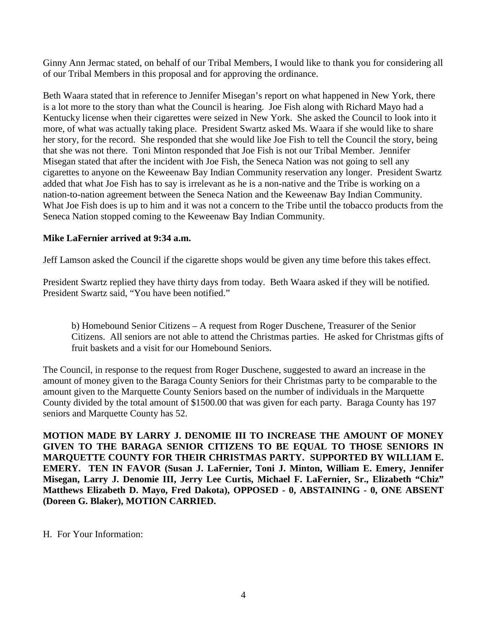Ginny Ann Jermac stated, on behalf of our Tribal Members, I would like to thank you for considering all of our Tribal Members in this proposal and for approving the ordinance.

Beth Waara stated that in reference to Jennifer Misegan's report on what happened in New York, there is a lot more to the story than what the Council is hearing. Joe Fish along with Richard Mayo had a Kentucky license when their cigarettes were seized in New York. She asked the Council to look into it more, of what was actually taking place. President Swartz asked Ms. Waara if she would like to share her story, for the record. She responded that she would like Joe Fish to tell the Council the story, being that she was not there. Toni Minton responded that Joe Fish is not our Tribal Member. Jennifer Misegan stated that after the incident with Joe Fish, the Seneca Nation was not going to sell any cigarettes to anyone on the Keweenaw Bay Indian Community reservation any longer. President Swartz added that what Joe Fish has to say is irrelevant as he is a non-native and the Tribe is working on a nation-to-nation agreement between the Seneca Nation and the Keweenaw Bay Indian Community. What Joe Fish does is up to him and it was not a concern to the Tribe until the tobacco products from the Seneca Nation stopped coming to the Keweenaw Bay Indian Community.

## **Mike LaFernier arrived at 9:34 a.m.**

Jeff Lamson asked the Council if the cigarette shops would be given any time before this takes effect.

President Swartz replied they have thirty days from today. Beth Waara asked if they will be notified. President Swartz said, "You have been notified."

b) Homebound Senior Citizens – A request from Roger Duschene, Treasurer of the Senior Citizens. All seniors are not able to attend the Christmas parties. He asked for Christmas gifts of fruit baskets and a visit for our Homebound Seniors.

The Council, in response to the request from Roger Duschene, suggested to award an increase in the amount of money given to the Baraga County Seniors for their Christmas party to be comparable to the amount given to the Marquette County Seniors based on the number of individuals in the Marquette County divided by the total amount of \$1500.00 that was given for each party. Baraga County has 197 seniors and Marquette County has 52.

**MOTION MADE BY LARRY J. DENOMIE III TO INCREASE THE AMOUNT OF MONEY GIVEN TO THE BARAGA SENIOR CITIZENS TO BE EQUAL TO THOSE SENIORS IN MARQUETTE COUNTY FOR THEIR CHRISTMAS PARTY. SUPPORTED BY WILLIAM E. EMERY. TEN IN FAVOR (Susan J. LaFernier, Toni J. Minton, William E. Emery, Jennifer Misegan, Larry J. Denomie III, Jerry Lee Curtis, Michael F. LaFernier, Sr., Elizabeth "Chiz" Matthews Elizabeth D. Mayo, Fred Dakota), OPPOSED - 0, ABSTAINING - 0, ONE ABSENT (Doreen G. Blaker), MOTION CARRIED.**

H. For Your Information: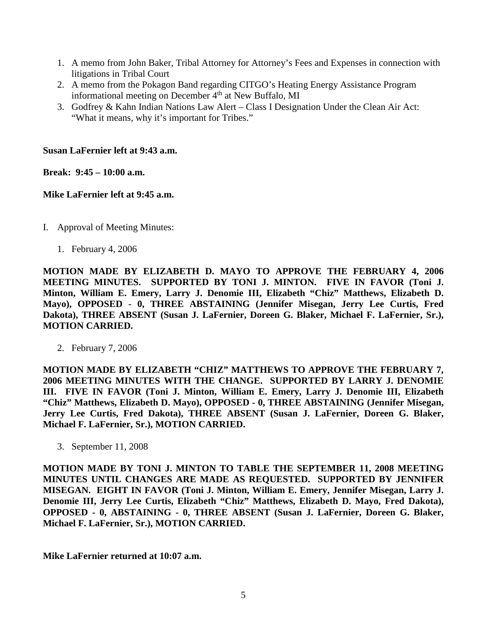- 1. A memo from John Baker, Tribal Attorney for Attorney's Fees and Expenses in connection with litigations in Tribal Court
- 2. A memo from the Pokagon Band regarding CITGO's Heating Energy Assistance Program informational meeting on December 4<sup>th</sup> at New Buffalo, MI
- 3. Godfrey & Kahn Indian Nations Law Alert Class I Designation Under the Clean Air Act: "What it means, why it's important for Tribes."

**Susan LaFernier left at 9:43 a.m.**

**Break: 9:45 – 10:00 a.m.**

**Mike LaFernier left at 9:45 a.m.**

- I. Approval of Meeting Minutes:
	- 1. February 4, 2006

**MOTION MADE BY ELIZABETH D. MAYO TO APPROVE THE FEBRUARY 4, 2006 MEETING MINUTES. SUPPORTED BY TONI J. MINTON. FIVE IN FAVOR (Toni J. Minton, William E. Emery, Larry J. Denomie III, Elizabeth "Chiz" Matthews, Elizabeth D. Mayo), OPPOSED - 0, THREE ABSTAINING (Jennifer Misegan, Jerry Lee Curtis, Fred Dakota), THREE ABSENT (Susan J. LaFernier, Doreen G. Blaker, Michael F. LaFernier, Sr.), MOTION CARRIED.**

2. February 7, 2006

**MOTION MADE BY ELIZABETH "CHIZ" MATTHEWS TO APPROVE THE FEBRUARY 7, 2006 MEETING MINUTES WITH THE CHANGE. SUPPORTED BY LARRY J. DENOMIE III. FIVE IN FAVOR (Toni J. Minton, William E. Emery, Larry J. Denomie III, Elizabeth "Chiz" Matthews, Elizabeth D. Mayo), OPPOSED - 0, THREE ABSTAINING (Jennifer Misegan, Jerry Lee Curtis, Fred Dakota), THREE ABSENT (Susan J. LaFernier, Doreen G. Blaker, Michael F. LaFernier, Sr.), MOTION CARRIED.**

3. September 11, 2008

**MOTION MADE BY TONI J. MINTON TO TABLE THE SEPTEMBER 11, 2008 MEETING MINUTES UNTIL CHANGES ARE MADE AS REQUESTED. SUPPORTED BY JENNIFER MISEGAN. EIGHT IN FAVOR (Toni J. Minton, William E. Emery, Jennifer Misegan, Larry J. Denomie III, Jerry Lee Curtis, Elizabeth "Chiz" Matthews, Elizabeth D. Mayo, Fred Dakota), OPPOSED - 0, ABSTAINING - 0, THREE ABSENT (Susan J. LaFernier, Doreen G. Blaker, Michael F. LaFernier, Sr.), MOTION CARRIED.**

**Mike LaFernier returned at 10:07 a.m.**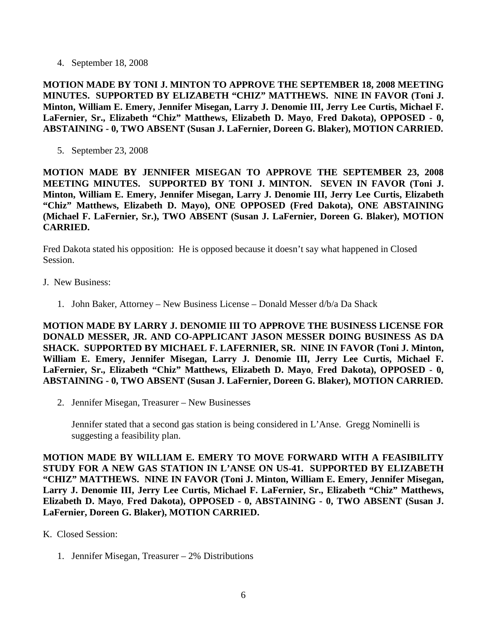4. September 18, 2008

**MOTION MADE BY TONI J. MINTON TO APPROVE THE SEPTEMBER 18, 2008 MEETING MINUTES. SUPPORTED BY ELIZABETH "CHIZ" MATTHEWS. NINE IN FAVOR (Toni J. Minton, William E. Emery, Jennifer Misegan, Larry J. Denomie III, Jerry Lee Curtis, Michael F. LaFernier, Sr., Elizabeth "Chiz" Matthews, Elizabeth D. Mayo**, **Fred Dakota), OPPOSED - 0, ABSTAINING - 0, TWO ABSENT (Susan J. LaFernier, Doreen G. Blaker), MOTION CARRIED.**

5. September 23, 2008

**MOTION MADE BY JENNIFER MISEGAN TO APPROVE THE SEPTEMBER 23, 2008 MEETING MINUTES. SUPPORTED BY TONI J. MINTON. SEVEN IN FAVOR (Toni J. Minton, William E. Emery, Jennifer Misegan, Larry J. Denomie III, Jerry Lee Curtis, Elizabeth "Chiz" Matthews, Elizabeth D. Mayo), ONE OPPOSED (Fred Dakota), ONE ABSTAINING (Michael F. LaFernier, Sr.), TWO ABSENT (Susan J. LaFernier, Doreen G. Blaker), MOTION CARRIED.**

Fred Dakota stated his opposition: He is opposed because it doesn't say what happened in Closed Session.

- J. New Business:
	- 1. John Baker, Attorney New Business License Donald Messer d/b/a Da Shack

**MOTION MADE BY LARRY J. DENOMIE III TO APPROVE THE BUSINESS LICENSE FOR DONALD MESSER, JR. AND CO-APPLICANT JASON MESSER DOING BUSINESS AS DA SHACK. SUPPORTED BY MICHAEL F. LAFERNIER, SR. NINE IN FAVOR (Toni J. Minton, William E. Emery, Jennifer Misegan, Larry J. Denomie III, Jerry Lee Curtis, Michael F. LaFernier, Sr., Elizabeth "Chiz" Matthews, Elizabeth D. Mayo**, **Fred Dakota), OPPOSED - 0, ABSTAINING - 0, TWO ABSENT (Susan J. LaFernier, Doreen G. Blaker), MOTION CARRIED.**

2. Jennifer Misegan, Treasurer – New Businesses

Jennifer stated that a second gas station is being considered in L'Anse. Gregg Nominelli is suggesting a feasibility plan.

**MOTION MADE BY WILLIAM E. EMERY TO MOVE FORWARD WITH A FEASIBILITY STUDY FOR A NEW GAS STATION IN L'ANSE ON US-41. SUPPORTED BY ELIZABETH "CHIZ" MATTHEWS. NINE IN FAVOR (Toni J. Minton, William E. Emery, Jennifer Misegan, Larry J. Denomie III, Jerry Lee Curtis, Michael F. LaFernier, Sr., Elizabeth "Chiz" Matthews, Elizabeth D. Mayo**, **Fred Dakota), OPPOSED - 0, ABSTAINING - 0, TWO ABSENT (Susan J. LaFernier, Doreen G. Blaker), MOTION CARRIED.**

- K. Closed Session:
	- 1. Jennifer Misegan, Treasurer 2% Distributions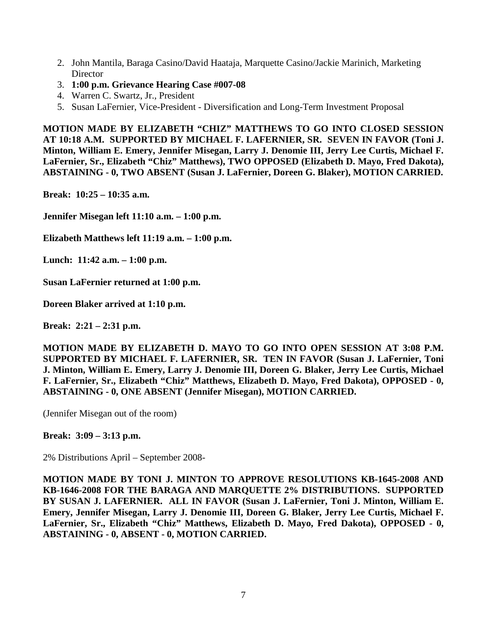- 2. John Mantila, Baraga Casino/David Haataja, Marquette Casino/Jackie Marinich, Marketing **Director**
- 3. **1:00 p.m. Grievance Hearing Case #007-08**
- 4. Warren C. Swartz, Jr., President
- 5. Susan LaFernier, Vice-President Diversification and Long-Term Investment Proposal

**MOTION MADE BY ELIZABETH "CHIZ" MATTHEWS TO GO INTO CLOSED SESSION AT 10:18 A.M. SUPPORTED BY MICHAEL F. LAFERNIER, SR. SEVEN IN FAVOR (Toni J. Minton, William E. Emery, Jennifer Misegan, Larry J. Denomie III, Jerry Lee Curtis, Michael F. LaFernier, Sr., Elizabeth "Chiz" Matthews), TWO OPPOSED (Elizabeth D. Mayo, Fred Dakota), ABSTAINING - 0, TWO ABSENT (Susan J. LaFernier, Doreen G. Blaker), MOTION CARRIED.**

**Break: 10:25 – 10:35 a.m.**

**Jennifer Misegan left 11:10 a.m. – 1:00 p.m.**

**Elizabeth Matthews left 11:19 a.m. – 1:00 p.m.**

**Lunch: 11:42 a.m. – 1:00 p.m.**

**Susan LaFernier returned at 1:00 p.m.**

**Doreen Blaker arrived at 1:10 p.m.**

**Break: 2:21 – 2:31 p.m.**

**MOTION MADE BY ELIZABETH D. MAYO TO GO INTO OPEN SESSION AT 3:08 P.M. SUPPORTED BY MICHAEL F. LAFERNIER, SR. TEN IN FAVOR (Susan J. LaFernier, Toni J. Minton, William E. Emery, Larry J. Denomie III, Doreen G. Blaker, Jerry Lee Curtis, Michael F. LaFernier, Sr., Elizabeth "Chiz" Matthews, Elizabeth D. Mayo, Fred Dakota), OPPOSED - 0, ABSTAINING - 0, ONE ABSENT (Jennifer Misegan), MOTION CARRIED.**

(Jennifer Misegan out of the room)

**Break: 3:09 – 3:13 p.m.**

2% Distributions April – September 2008-

**MOTION MADE BY TONI J. MINTON TO APPROVE RESOLUTIONS KB-1645-2008 AND KB-1646-2008 FOR THE BARAGA AND MARQUETTE 2% DISTRIBUTIONS. SUPPORTED BY SUSAN J. LAFERNIER. ALL IN FAVOR (Susan J. LaFernier, Toni J. Minton, William E. Emery, Jennifer Misegan, Larry J. Denomie III, Doreen G. Blaker, Jerry Lee Curtis, Michael F. LaFernier, Sr., Elizabeth "Chiz" Matthews, Elizabeth D. Mayo, Fred Dakota), OPPOSED - 0, ABSTAINING - 0, ABSENT - 0, MOTION CARRIED.**